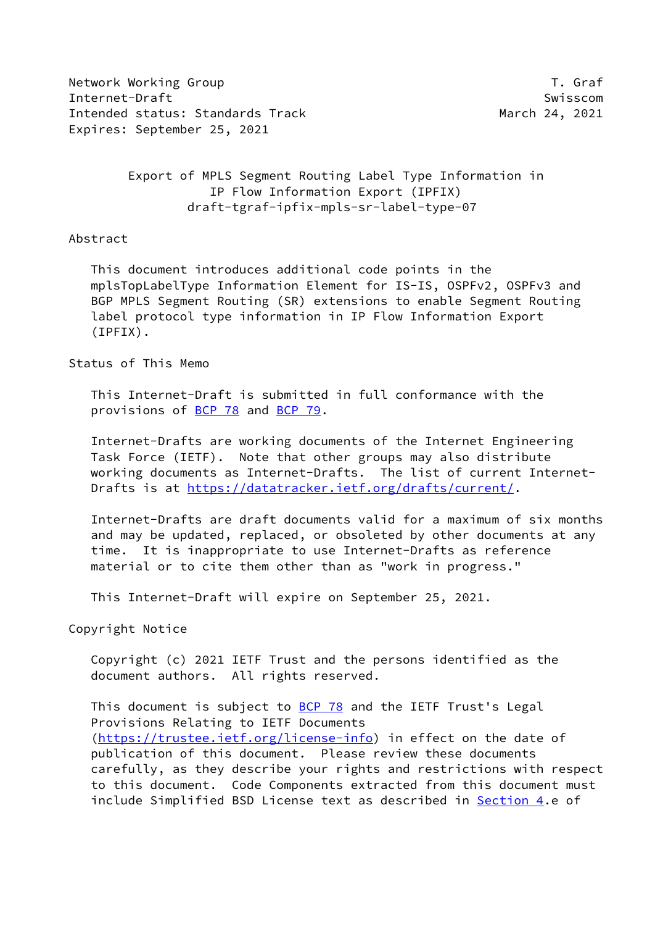Network Working Group T. Graf Internet-Draft Swisscom Intended status: Standards Track March 24, 2021 Expires: September 25, 2021

 Export of MPLS Segment Routing Label Type Information in IP Flow Information Export (IPFIX) draft-tgraf-ipfix-mpls-sr-label-type-07

Abstract

 This document introduces additional code points in the mplsTopLabelType Information Element for IS-IS, OSPFv2, OSPFv3 and BGP MPLS Segment Routing (SR) extensions to enable Segment Routing label protocol type information in IP Flow Information Export (IPFIX).

Status of This Memo

 This Internet-Draft is submitted in full conformance with the provisions of [BCP 78](https://datatracker.ietf.org/doc/pdf/bcp78) and [BCP 79](https://datatracker.ietf.org/doc/pdf/bcp79).

 Internet-Drafts are working documents of the Internet Engineering Task Force (IETF). Note that other groups may also distribute working documents as Internet-Drafts. The list of current Internet- Drafts is at<https://datatracker.ietf.org/drafts/current/>.

 Internet-Drafts are draft documents valid for a maximum of six months and may be updated, replaced, or obsoleted by other documents at any time. It is inappropriate to use Internet-Drafts as reference material or to cite them other than as "work in progress."

This Internet-Draft will expire on September 25, 2021.

Copyright Notice

 Copyright (c) 2021 IETF Trust and the persons identified as the document authors. All rights reserved.

This document is subject to **[BCP 78](https://datatracker.ietf.org/doc/pdf/bcp78)** and the IETF Trust's Legal Provisions Relating to IETF Documents [\(https://trustee.ietf.org/license-info](https://trustee.ietf.org/license-info)) in effect on the date of publication of this document. Please review these documents carefully, as they describe your rights and restrictions with respect to this document. Code Components extracted from this document must include Simplified BSD License text as described in [Section 4.](#page-3-0)e of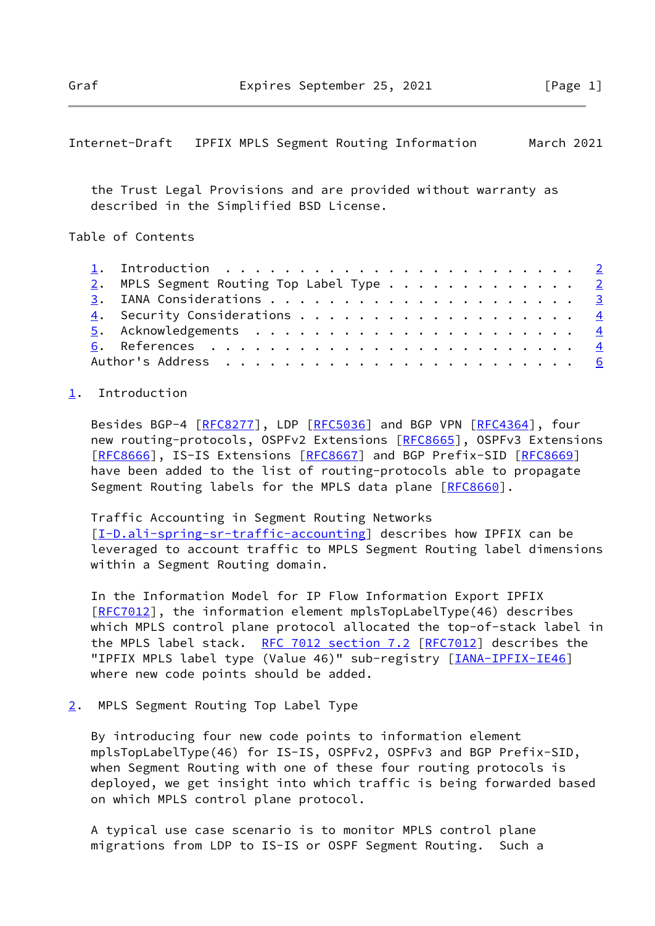## <span id="page-1-1"></span>Internet-Draft IPFIX MPLS Segment Routing Information March 2021

 the Trust Legal Provisions and are provided without warranty as described in the Simplified BSD License.

Table of Contents

|  | 1. Introduction $\ldots \ldots \ldots \ldots \ldots \ldots \ldots \ldots \ldots$ |  |
|--|----------------------------------------------------------------------------------|--|
|  | 2. MPLS Segment Routing Top Label Type 2                                         |  |
|  |                                                                                  |  |
|  | 4. Security Considerations 4                                                     |  |
|  |                                                                                  |  |
|  |                                                                                  |  |
|  |                                                                                  |  |

## <span id="page-1-0"></span>[1](#page-1-0). Introduction

Besides BGP-4 [[RFC8277](https://datatracker.ietf.org/doc/pdf/rfc8277)], LDP [\[RFC5036](https://datatracker.ietf.org/doc/pdf/rfc5036)] and BGP VPN [[RFC4364\]](https://datatracker.ietf.org/doc/pdf/rfc4364), four new routing-protocols, OSPFv2 Extensions [\[RFC8665](https://datatracker.ietf.org/doc/pdf/rfc8665)], OSPFv3 Extensions [\[RFC8666](https://datatracker.ietf.org/doc/pdf/rfc8666)], IS-IS Extensions [\[RFC8667](https://datatracker.ietf.org/doc/pdf/rfc8667)] and BGP Prefix-SID [\[RFC8669](https://datatracker.ietf.org/doc/pdf/rfc8669)] have been added to the list of routing-protocols able to propagate Segment Routing labels for the MPLS data plane [\[RFC8660](https://datatracker.ietf.org/doc/pdf/rfc8660)].

## Traffic Accounting in Segment Routing Networks

[\[I-D.ali-spring-sr-traffic-accounting](#page-4-0)] describes how IPFIX can be leveraged to account traffic to MPLS Segment Routing label dimensions within a Segment Routing domain.

 In the Information Model for IP Flow Information Export IPFIX [\[RFC7012](https://datatracker.ietf.org/doc/pdf/rfc7012)], the information element mplsTopLabelType(46) describes which MPLS control plane protocol allocated the top-of-stack label in the MPLS label stack. [RFC 7012 section](https://datatracker.ietf.org/doc/pdf/rfc7012#section-7.2) 7.2 [\[RFC7012](https://datatracker.ietf.org/doc/pdf/rfc7012)] describes the "IPFIX MPLS label type (Value 46)" sub-registry [\[IANA-IPFIX-IE46](#page-4-1)] where new code points should be added.

## <span id="page-1-2"></span>[2](#page-1-2). MPLS Segment Routing Top Label Type

 By introducing four new code points to information element mplsTopLabelType(46) for IS-IS, OSPFv2, OSPFv3 and BGP Prefix-SID, when Segment Routing with one of these four routing protocols is deployed, we get insight into which traffic is being forwarded based on which MPLS control plane protocol.

 A typical use case scenario is to monitor MPLS control plane migrations from LDP to IS-IS or OSPF Segment Routing. Such a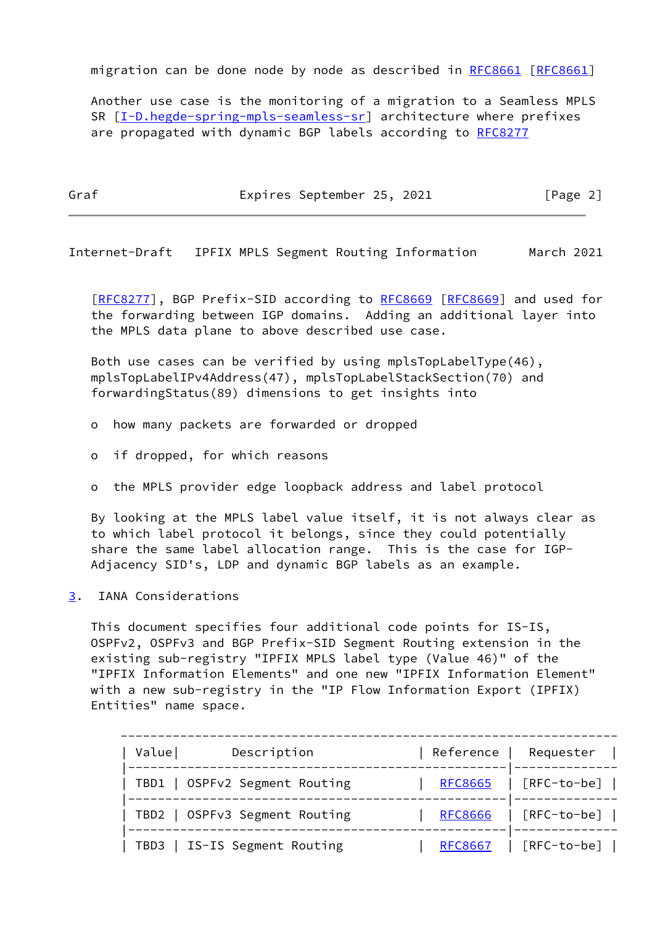migration can be done node by node as described in [RFC8661](https://datatracker.ietf.org/doc/pdf/rfc8661) [[RFC8661\]](https://datatracker.ietf.org/doc/pdf/rfc8661)

 Another use case is the monitoring of a migration to a Seamless MPLS SR [[I-D.hegde-spring-mpls-seamless-sr\]](#page-4-2) architecture where prefixes are propagated with dynamic BGP labels according to [RFC8277](https://datatracker.ietf.org/doc/pdf/rfc8277)

Graf **Expires September 25, 2021** [Page 2]

<span id="page-2-1"></span>Internet-Draft IPFIX MPLS Segment Routing Information March 2021

[\[RFC8277](https://datatracker.ietf.org/doc/pdf/rfc8277)], BGP Prefix-SID according to [RFC8669](https://datatracker.ietf.org/doc/pdf/rfc8669) [\[RFC8669](https://datatracker.ietf.org/doc/pdf/rfc8669)] and used for the forwarding between IGP domains. Adding an additional layer into the MPLS data plane to above described use case.

 Both use cases can be verified by using mplsTopLabelType(46), mplsTopLabelIPv4Address(47), mplsTopLabelStackSection(70) and forwardingStatus(89) dimensions to get insights into

o how many packets are forwarded or dropped

o if dropped, for which reasons

o the MPLS provider edge loopback address and label protocol

 By looking at the MPLS label value itself, it is not always clear as to which label protocol it belongs, since they could potentially share the same label allocation range. This is the case for IGP- Adjacency SID's, LDP and dynamic BGP labels as an example.

<span id="page-2-0"></span>[3](#page-2-0). IANA Considerations

 This document specifies four additional code points for IS-IS, OSPFv2, OSPFv3 and BGP Prefix-SID Segment Routing extension in the existing sub-registry "IPFIX MPLS label type (Value 46)" of the "IPFIX Information Elements" and one new "IPFIX Information Element" with a new sub-registry in the "IP Flow Information Export (IPFIX) Entities" name space.

| Value<br>Description          | Reference<br>Requester          |
|-------------------------------|---------------------------------|
| TBD1   OSPFv2 Segment Routing | $[RFC-to-be]$<br><b>RFC8665</b> |
| TBD2   OSPFv3 Segment Routing | $[RFC-to-be]$<br><b>RFC8666</b> |
| TBD3   IS-IS Segment Routing  | $[RFC-to-be]$<br><b>RFC8667</b> |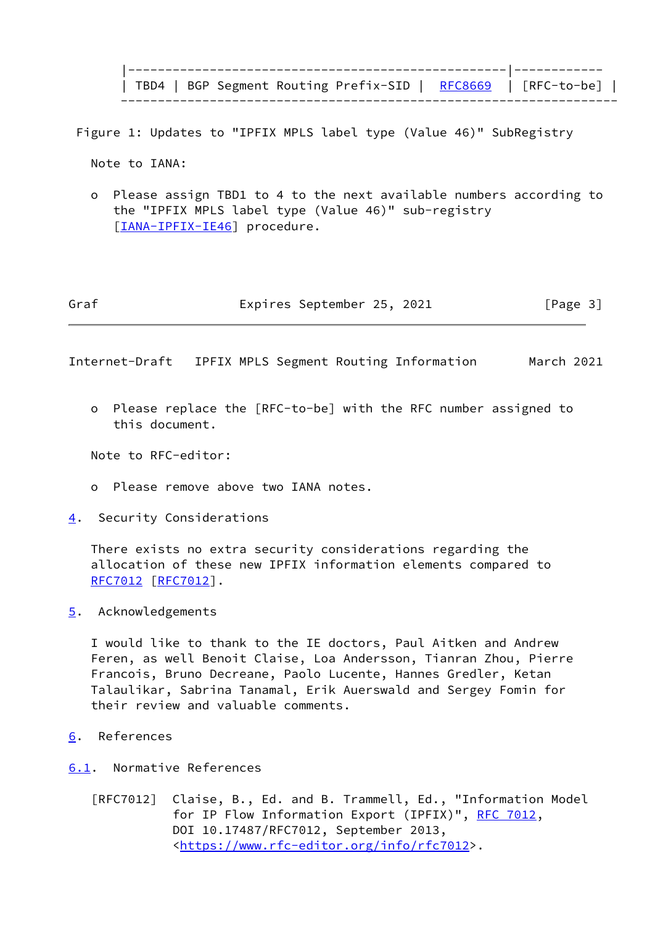|---------------------------------------------------|------------ | TBD4 | BGP Segment Routing Prefix-SID | <u>[RFC8669](https://datatracker.ietf.org/doc/pdf/rfc8669)</u> | [RFC-to-be] | -------------------------------------------------------------------

Figure 1: Updates to "IPFIX MPLS label type (Value 46)" SubRegistry

Note to IANA:

 o Please assign TBD1 to 4 to the next available numbers according to the "IPFIX MPLS label type (Value 46)" sub-registry [[IANA-IPFIX-IE46\]](#page-4-1) procedure.

| Graf |  | Expires September 25, 2021 |  |  | [Page 3] |
|------|--|----------------------------|--|--|----------|
|------|--|----------------------------|--|--|----------|

<span id="page-3-1"></span>Internet-Draft IPFIX MPLS Segment Routing Information March 2021

 o Please replace the [RFC-to-be] with the RFC number assigned to this document.

Note to RFC-editor:

- o Please remove above two IANA notes.
- <span id="page-3-0"></span>[4](#page-3-0). Security Considerations

 There exists no extra security considerations regarding the allocation of these new IPFIX information elements compared to [RFC7012](https://datatracker.ietf.org/doc/pdf/rfc7012) [\[RFC7012](https://datatracker.ietf.org/doc/pdf/rfc7012)].

<span id="page-3-2"></span>[5](#page-3-2). Acknowledgements

 I would like to thank to the IE doctors, Paul Aitken and Andrew Feren, as well Benoit Claise, Loa Andersson, Tianran Zhou, Pierre Francois, Bruno Decreane, Paolo Lucente, Hannes Gredler, Ketan Talaulikar, Sabrina Tanamal, Erik Auerswald and Sergey Fomin for their review and valuable comments.

<span id="page-3-3"></span>[6](#page-3-3). References

<span id="page-3-4"></span>[6.1](#page-3-4). Normative References

 [RFC7012] Claise, B., Ed. and B. Trammell, Ed., "Information Model for IP Flow Information Export (IPFIX)", [RFC 7012,](https://datatracker.ietf.org/doc/pdf/rfc7012) DOI 10.17487/RFC7012, September 2013, <[https://www.rfc-editor.org/info/rfc7012>](https://www.rfc-editor.org/info/rfc7012).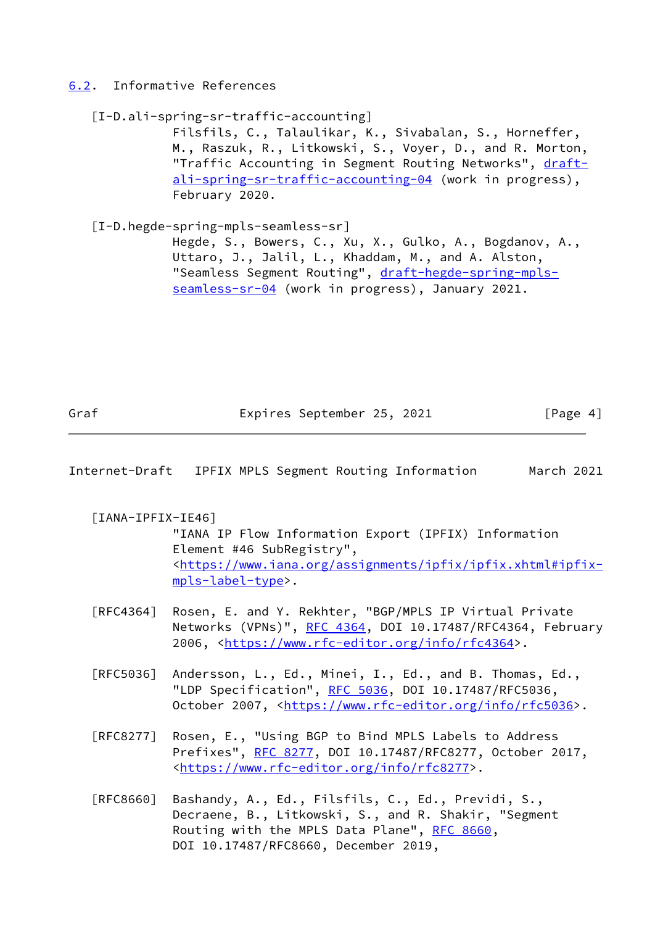<span id="page-4-3"></span>[6.2](#page-4-3). Informative References

```
 [I-D.ali-spring-sr-traffic-accounting]
```
 Filsfils, C., Talaulikar, K., Sivabalan, S., Horneffer, M., Raszuk, R., Litkowski, S., Voyer, D., and R. Morton, "Traffic Accounting in Segment Routing Networks", [draft](https://datatracker.ietf.org/doc/pdf/draft-ali-spring-sr-traffic-accounting-04) [ali-spring-sr-traffic-accounting-04](https://datatracker.ietf.org/doc/pdf/draft-ali-spring-sr-traffic-accounting-04) (work in progress), February 2020.

```
 [I-D.hegde-spring-mpls-seamless-sr]
 Hegde, S., Bowers, C., Xu, X., Gulko, A., Bogdanov, A.,
 Uttaro, J., Jalil, L., Khaddam, M., and A. Alston,
draft-hegde-spring-mpls-
seamless-sr-04 (work in progress), January 2021.
```
Graf **Expires September 25, 2021** [Page 4]

Internet-Draft IPFIX MPLS Segment Routing Information March 2021

<span id="page-4-1"></span>[IANA-IPFIX-IE46]

 "IANA IP Flow Information Export (IPFIX) Information Element #46 SubRegistry", <[https://www.iana.org/assignments/ipfix/ipfix.xhtml#ipfix](https://www.iana.org/assignments/ipfix/ipfix.xhtml#ipfix-mpls-label-type) [mpls-label-type](https://www.iana.org/assignments/ipfix/ipfix.xhtml#ipfix-mpls-label-type)>.

- [RFC4364] Rosen, E. and Y. Rekhter, "BGP/MPLS IP Virtual Private Networks (VPNs)", [RFC 4364](https://datatracker.ietf.org/doc/pdf/rfc4364), DOI 10.17487/RFC4364, February 2006, [<https://www.rfc-editor.org/info/rfc4364](https://www.rfc-editor.org/info/rfc4364)>.
- [RFC5036] Andersson, L., Ed., Minei, I., Ed., and B. Thomas, Ed., "LDP Specification", [RFC 5036](https://datatracker.ietf.org/doc/pdf/rfc5036), DOI 10.17487/RFC5036, October 2007, [<https://www.rfc-editor.org/info/rfc5036](https://www.rfc-editor.org/info/rfc5036)>.
- [RFC8277] Rosen, E., "Using BGP to Bind MPLS Labels to Address Prefixes", [RFC 8277](https://datatracker.ietf.org/doc/pdf/rfc8277), DOI 10.17487/RFC8277, October 2017, <[https://www.rfc-editor.org/info/rfc8277>](https://www.rfc-editor.org/info/rfc8277).
- [RFC8660] Bashandy, A., Ed., Filsfils, C., Ed., Previdi, S., Decraene, B., Litkowski, S., and R. Shakir, "Segment Routing with the MPLS Data Plane", [RFC 8660](https://datatracker.ietf.org/doc/pdf/rfc8660), DOI 10.17487/RFC8660, December 2019,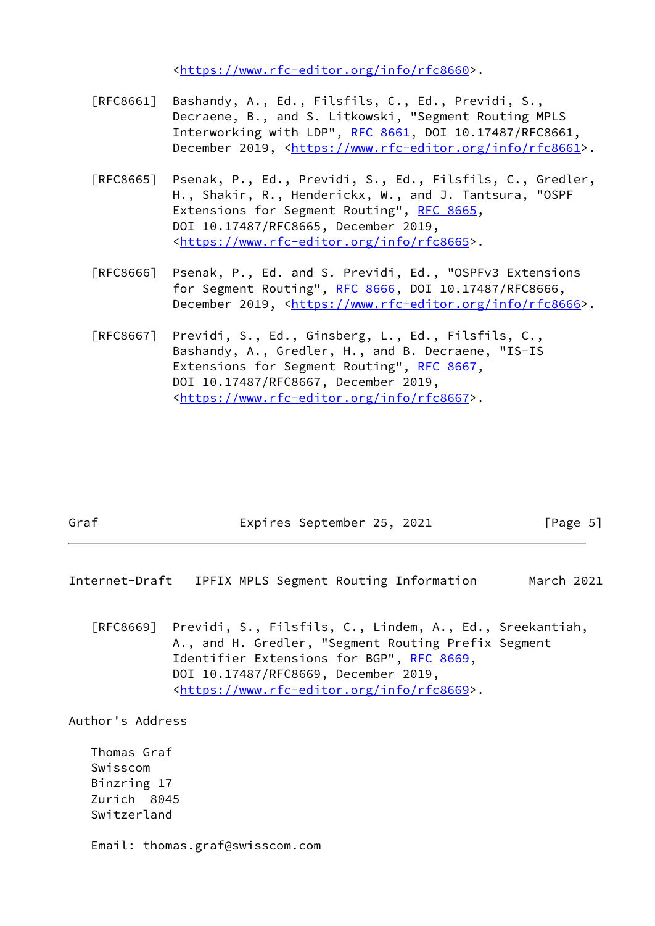<[https://www.rfc-editor.org/info/rfc8660>](https://www.rfc-editor.org/info/rfc8660).

- [RFC8661] Bashandy, A., Ed., Filsfils, C., Ed., Previdi, S., Decraene, B., and S. Litkowski, "Segment Routing MPLS Interworking with LDP", [RFC 8661,](https://datatracker.ietf.org/doc/pdf/rfc8661) DOI 10.17487/RFC8661, December 2019, <<https://www.rfc-editor.org/info/rfc8661>>.
- [RFC8665] Psenak, P., Ed., Previdi, S., Ed., Filsfils, C., Gredler, H., Shakir, R., Henderickx, W., and J. Tantsura, "OSPF Extensions for Segment Routing", [RFC 8665,](https://datatracker.ietf.org/doc/pdf/rfc8665) DOI 10.17487/RFC8665, December 2019, <[https://www.rfc-editor.org/info/rfc8665>](https://www.rfc-editor.org/info/rfc8665).
- [RFC8666] Psenak, P., Ed. and S. Previdi, Ed., "OSPFv3 Extensions for Segment Routing", [RFC 8666](https://datatracker.ietf.org/doc/pdf/rfc8666), DOI 10.17487/RFC8666, December 2019, <<https://www.rfc-editor.org/info/rfc8666>>.
- [RFC8667] Previdi, S., Ed., Ginsberg, L., Ed., Filsfils, C., Bashandy, A., Gredler, H., and B. Decraene, "IS-IS Extensions for Segment Routing", [RFC 8667,](https://datatracker.ietf.org/doc/pdf/rfc8667) DOI 10.17487/RFC8667, December 2019, <[https://www.rfc-editor.org/info/rfc8667>](https://www.rfc-editor.org/info/rfc8667).

| Graf | Expires September 25, 2021 |  | [Page 5] |  |
|------|----------------------------|--|----------|--|
|      |                            |  |          |  |

<span id="page-5-0"></span>Internet-Draft IPFIX MPLS Segment Routing Information March 2021

 [RFC8669] Previdi, S., Filsfils, C., Lindem, A., Ed., Sreekantiah, A., and H. Gredler, "Segment Routing Prefix Segment Identifier Extensions for BGP", [RFC 8669,](https://datatracker.ietf.org/doc/pdf/rfc8669) DOI 10.17487/RFC8669, December 2019, <[https://www.rfc-editor.org/info/rfc8669>](https://www.rfc-editor.org/info/rfc8669).

Author's Address

 Thomas Graf Swisscom Binzring 17 Zurich 8045 Switzerland

Email: thomas.graf@swisscom.com